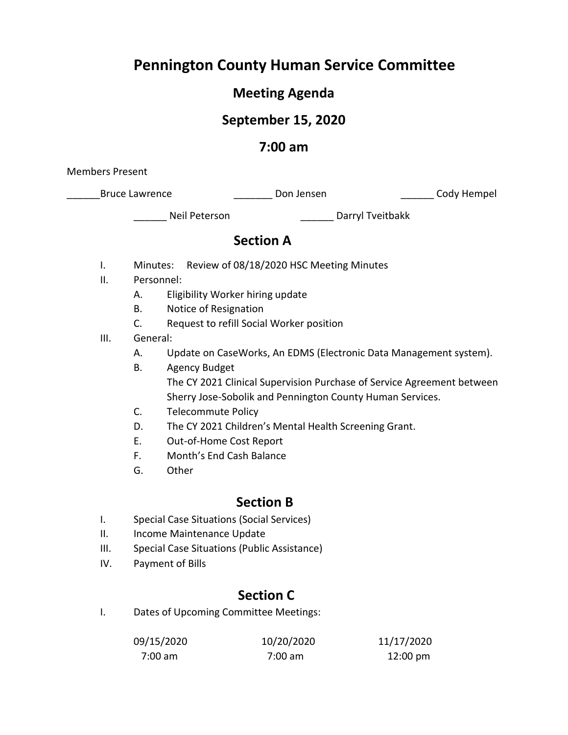# **Pennington County Human Service Committee**

# **Meeting Agenda**

## **September 15, 2020**

### **7:00 am**

Members Present

\_Bruce Lawrence \_\_\_\_\_\_\_\_\_\_\_\_\_\_\_\_\_\_\_\_\_\_\_\_Don Jensen \_\_\_\_\_\_\_\_\_\_\_\_\_\_\_\_\_\_\_\_\_\_\_Cody Hempel

\_\_\_\_\_\_ Neil Peterson \_\_\_\_\_\_ Darryl Tveitbakk

### **Section A**

- I. Minutes: Review of 08/18/2020 HSC Meeting Minutes
- II. Personnel:
	- A. Eligibility Worker hiring update
	- B. Notice of Resignation
	- C. Request to refill Social Worker position
- III. General:
	- A. Update on CaseWorks, An EDMS (Electronic Data Management system).
	- B. Agency Budget The CY 2021 Clinical Supervision Purchase of Service Agreement between Sherry Jose-Sobolik and Pennington County Human Services.
	- C. Telecommute Policy
	- D. The CY 2021 Children's Mental Health Screening Grant.
	- E. Out-of-Home Cost Report
	- F. Month's End Cash Balance
	- G. Other

### **Section B**

- I. Special Case Situations (Social Services)
- II. Income Maintenance Update
- III. Special Case Situations (Public Assistance)
- IV. Payment of Bills

# **Section C**

I. Dates of Upcoming Committee Meetings:

| 09/15/2020 | 10/20/2020 | 11/17/2020         |
|------------|------------|--------------------|
| 7:00 am    | 7:00 am    | $12:00 \text{ pm}$ |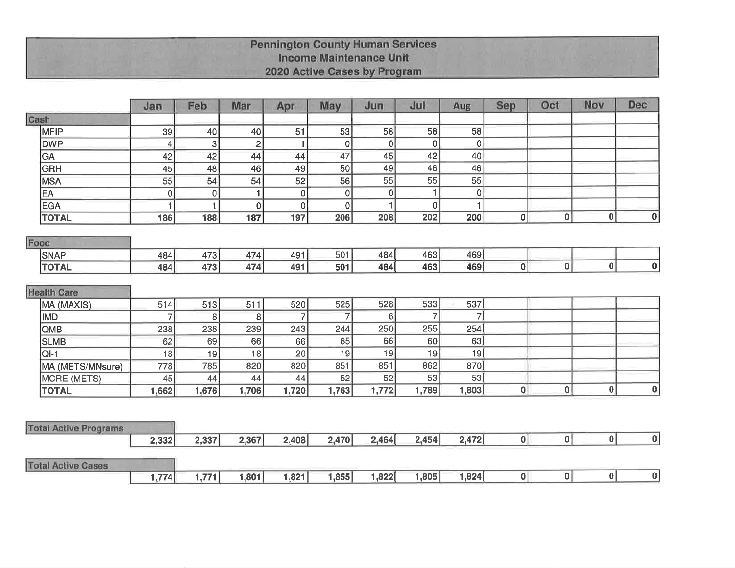# **Pennington County Human Services<br>Income Maintenance Unit** 2020 Active Cases by Program

|                              | Jan            | Feb   | Mar            | Apr            | May             | Jun      | Jul            | Aug         | <b>Sep</b>       | Oct         | Nov | <b>Dec</b>  |
|------------------------------|----------------|-------|----------------|----------------|-----------------|----------|----------------|-------------|------------------|-------------|-----|-------------|
| Cash                         |                |       |                |                |                 |          |                |             |                  |             |     |             |
| MFIP                         | 39             | 40    | 40             | 51             | 53              | 58       | 58             | 58          |                  |             |     |             |
| <b>DWP</b>                   | 4              | 3     | $\overline{2}$ |                | $\mathbf 0$     | 0        | 0              | $\mathbf 0$ |                  |             |     |             |
| GA                           | 42             | 42    | 44             | 44             | 47              | 45       | 42             | 40          |                  |             |     |             |
| GRH                          | 45             | 48    | 46             | 49             | 50              | 49       | 46             | 46          |                  |             |     |             |
| <b>MSA</b>                   | 55             | 54    | 54             | 52             | $\overline{56}$ | 55       | 55             | 55          |                  |             |     |             |
| EA                           | $\pmb{0}$      | 0     | 1              | $\mathbf 0$    | 0               | $\Omega$ | 1              | $\mathbf 0$ |                  |             |     |             |
| <b>EGA</b>                   | 1              | 1     | $\mathbf 0$    | $\mathbf 0$    | $\overline{0}$  |          | 0              | 1           |                  |             |     |             |
| <b>TOTAL</b>                 | 186            | 188   | 187            | 197            | 206             | 208      | 202            | 200         | $\boldsymbol{0}$ | $\bf{0}$    | 0   | $\mathbf 0$ |
| Food                         |                |       |                |                |                 |          |                |             |                  |             |     |             |
| <b>SNAP</b>                  | 484            | 473   | 474            | 491            | 501             | 484      | 463            | 469         |                  |             |     |             |
| <b>TOTAL</b>                 | 484            | 473   | 474            | 491            | 501             | 484      | 463            | 469         | $\bf{0}$         | $\bf{0}$    | 0   | $\bf{0}$    |
|                              |                |       |                |                |                 |          |                |             |                  |             |     |             |
| <b>Health Care</b>           |                |       |                |                |                 |          |                |             |                  |             |     |             |
| MA (MAXIS)                   | 514            | 513   | 511            | 520            | 525             | 528      | 533            | 537         |                  |             |     |             |
| <b>IMD</b>                   | $\overline{7}$ | 8     | 8              | $\overline{7}$ | 7               | 6        | $\overline{7}$ | 7           |                  |             |     |             |
| QMB                          | 238            | 238   | 239            | 243            | 244             | 250      | 255            | 254         |                  |             |     |             |
| <b>SLMB</b>                  | 62             | 69    | 66             | 66             | 65              | 66       | 60             | 63          |                  |             |     |             |
| $QI-1$                       | 18             | 19    | 18             | 20             | 19              | 19       | 19             | 19          |                  |             |     |             |
| MA (METS/MNsure)             | 778            | 785   | 820            | 820            | 851             | 851      | 862            | 870         |                  |             |     |             |
| <b>MCRE (METS)</b>           | 45             | 44    | 44             | 44             | 52              | 52       | 53             | 53          |                  |             |     |             |
| <b>TOTAL</b>                 | 1,662          | 1,676 | 1,706          | 1,720          | 1,763           | 1,772    | 1,789          | 1,803       | $\bf{0}$         | $\mathbf 0$ | 0   | $\mathbf 0$ |
|                              |                |       |                |                |                 |          |                |             |                  |             |     |             |
|                              |                |       |                |                |                 |          |                |             |                  |             |     |             |
| <b>Total Active Programs</b> | 2,332          | 2,337 | 2,367          | 2,408          | 2,470           | 2,464    | 2,454          | 2,472       | 0                | 0           | 0   | 0           |
|                              |                |       |                |                |                 |          |                |             |                  |             |     |             |
| <b>Total Active Cases</b>    |                |       |                |                |                 |          |                |             |                  |             |     |             |
|                              | 1,774          | 1,771 | 1,801          | 1,821          | 1,855           | 1,822    | 1,805          | 1,824       | $\bf{0}$         | 0           | 0   | $\bf{0}$    |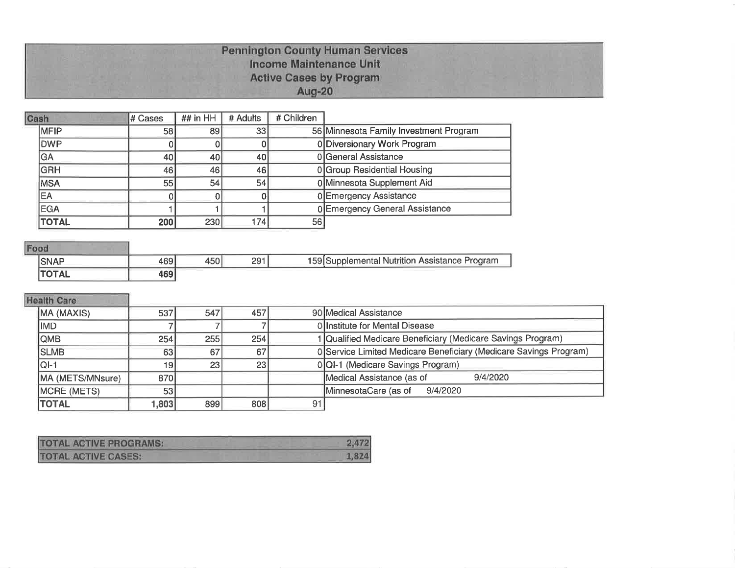# **Pennington County Human Services<br>Income Maintenance Unit Active Cases by Program** Aug-20

| Cash         | # Cases | ## in HH | # Adults | # Children |                                        |
|--------------|---------|----------|----------|------------|----------------------------------------|
| <b>IMFIP</b> | 58 I    | 89       | 33       |            | 56 Minnesota Family Investment Program |
| <b>OWP</b>   |         |          |          |            | 0 Diversionary Work Program            |
| GA           | 40      | 40       | 40       |            | 0 General Assistance                   |
| <b>GRH</b>   | 46      | 46       | 46       |            | 0 Group Residential Housing            |
| <b>IMSA</b>  | 55      | 54       | 54       |            | 0 Minnesota Supplement Aid             |
| EA           |         |          |          |            | 0 Emergency Assistance                 |
| <b>EGA</b>   |         |          |          |            | 0 Emergency General Assistance         |
| <b>TOTAL</b> | 200     | 230      | 174      | 56         |                                        |

### Food

| <b>SNAF</b>  | $\sim$ | 450' | 201<br>LJ | 159 Supplemental Nutrition Assistance Program |
|--------------|--------|------|-----------|-----------------------------------------------|
| <b>TOTAL</b> | 469    |      |           |                                               |

# **Health Care**

| MA (MAXIS)       | 537  | 547             | 457 |    | 90 Medical Assistance                                             |  |  |  |  |
|------------------|------|-----------------|-----|----|-------------------------------------------------------------------|--|--|--|--|
| IMD.             |      |                 |     |    | <b>Ollnstitute for Mental Disease</b>                             |  |  |  |  |
| <b>QMB</b>       | 254  | <b>255</b>      | 254 |    | 1 Qualified Medicare Beneficiary (Medicare Savings Program)       |  |  |  |  |
| <b>SLMB</b>      | 63   | 67I             | 67  |    | 0 Service Limited Medicare Beneficiary (Medicare Savings Program) |  |  |  |  |
| IQI-1            | 19   | 23 <sub>1</sub> | 23  |    | 0 QI-1 (Medicare Savings Program)                                 |  |  |  |  |
| MA (METS/MNsure) | 870  |                 |     |    | Medical Assistance (as of<br>9/4/2020                             |  |  |  |  |
| MCRE (METS)      | 53   |                 |     |    | MinnesotaCare (as of<br>9/4/2020                                  |  |  |  |  |
| <b>TOTAL</b>     | .803 | 899             | 808 | 91 |                                                                   |  |  |  |  |

| <b>TOTAL ACTIVE PROGRAMS:</b> | 2.472 |
|-------------------------------|-------|
| <b>TOTAL ACTIVE CASES:</b>    |       |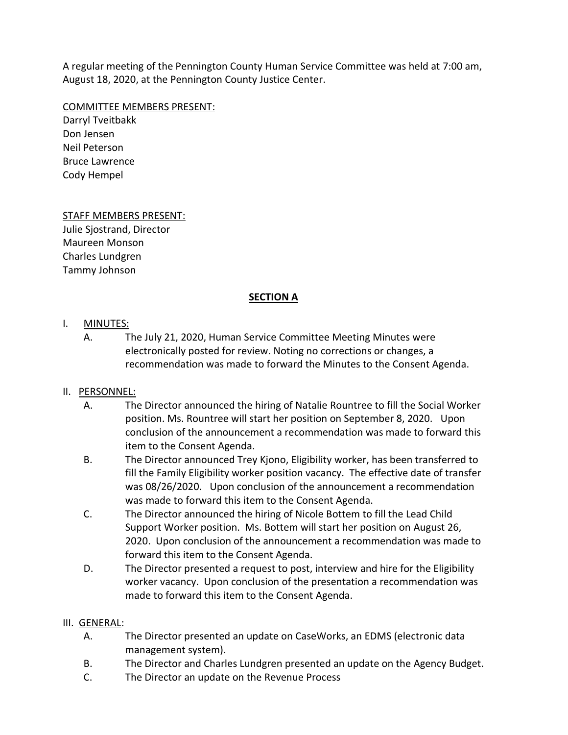A regular meeting of the Pennington County Human Service Committee was held at 7:00 am, August 18, 2020, at the Pennington County Justice Center.

#### COMMITTEE MEMBERS PRESENT:

Darryl Tveitbakk Don Jensen Neil Peterson Bruce Lawrence Cody Hempel

### STAFF MEMBERS PRESENT:

Julie Sjostrand, Director Maureen Monson Charles Lundgren Tammy Johnson

#### **SECTION A**

#### I. MINUTES:

A. The July 21, 2020, Human Service Committee Meeting Minutes were electronically posted for review. Noting no corrections or changes, a recommendation was made to forward the Minutes to the Consent Agenda.

### II. PERSONNEL:

- A. The Director announced the hiring of Natalie Rountree to fill the Social Worker position. Ms. Rountree will start her position on September 8, 2020. Upon conclusion of the announcement a recommendation was made to forward this item to the Consent Agenda.
- B. The Director announced Trey Kjono, Eligibility worker, has been transferred to fill the Family Eligibility worker position vacancy. The effective date of transfer was 08/26/2020. Upon conclusion of the announcement a recommendation was made to forward this item to the Consent Agenda.
- C. The Director announced the hiring of Nicole Bottem to fill the Lead Child Support Worker position. Ms. Bottem will start her position on August 26, 2020. Upon conclusion of the announcement a recommendation was made to forward this item to the Consent Agenda.
- D. The Director presented a request to post, interview and hire for the Eligibility worker vacancy. Upon conclusion of the presentation a recommendation was made to forward this item to the Consent Agenda.

### III. GENERAL:

- A. The Director presented an update on CaseWorks, an EDMS (electronic data management system).
- B. The Director and Charles Lundgren presented an update on the Agency Budget.
- C. The Director an update on the Revenue Process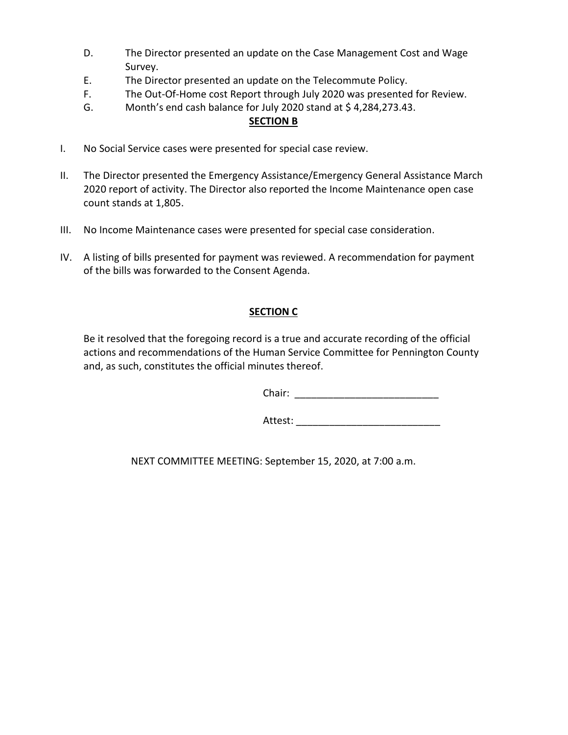- D. The Director presented an update on the Case Management Cost and Wage Survey.
- E. The Director presented an update on the Telecommute Policy.
- F. The Out-Of-Home cost Report through July 2020 was presented for Review.
- G. Month's end cash balance for July 2020 stand at \$4,284,273.43.

#### **SECTION B**

- I. No Social Service cases were presented for special case review.
- II. The Director presented the Emergency Assistance/Emergency General Assistance March 2020 report of activity. The Director also reported the Income Maintenance open case count stands at 1,805.
- III. No Income Maintenance cases were presented for special case consideration.
- IV. A listing of bills presented for payment was reviewed. A recommendation for payment of the bills was forwarded to the Consent Agenda.

### **SECTION C**

Be it resolved that the foregoing record is a true and accurate recording of the official actions and recommendations of the Human Service Committee for Pennington County and, as such, constitutes the official minutes thereof.

Chair: \_\_\_\_\_\_\_\_\_\_\_\_\_\_\_\_\_\_\_\_\_\_\_\_\_\_

Attest: \_\_\_\_\_\_\_\_\_\_\_\_\_\_\_\_\_\_\_\_\_\_\_\_\_\_

NEXT COMMITTEE MEETING: September 15, 2020, at 7:00 a.m.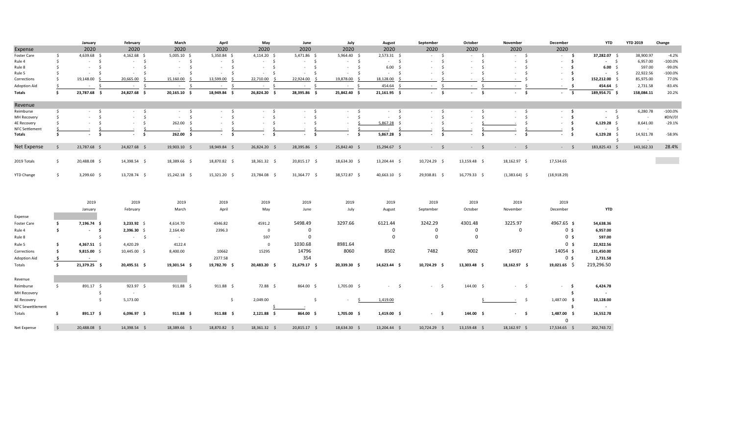|                         |                     | January                       | February                          | March            | April            | May                                   | June           | July            | August                          | September              | October                        | November                      | December                      | YTD                  | <b>YTD 2019</b> | Change    |
|-------------------------|---------------------|-------------------------------|-----------------------------------|------------------|------------------|---------------------------------------|----------------|-----------------|---------------------------------|------------------------|--------------------------------|-------------------------------|-------------------------------|----------------------|-----------------|-----------|
| Expense                 |                     | 2020                          | 2020                              | 2020             | 2020             | 2020                                  | 2020           | 2020            | 2020                            | 2020                   | 2020                           | 2020                          | 2020                          |                      |                 |           |
| Foster Care             | - Ś                 | 4,639.68 \$                   | $4,162.68$ \$                     | $5,005.10$ \$    | 5,350.84 \$      | $4,114.20$ \$                         | 5,471.86 \$    | 5,964.40 \$     | $2,573.31$ \$                   | $-5$                   | $-5$                           | $-5$                          | $-5$                          | 37,282.07 \$         | 38,900.97       | $-4.2%$   |
| Rule 4                  | - Ś                 | $-5$                          | $-5$                              | $-5$             | $-5$             | $-5$                                  | $-5$           | $-5$            | $-5$                            | $-5$                   | $\sim$<br>- Ś                  | s.<br>$\sim 100$              | - \$<br>$\sim$                | $-5$                 | 6,957.00        | $-100.0%$ |
| Rule 8                  | - Ś                 | $\sim$<br>$\sim 10^{-1}$      | $\sim$ $-$<br>$\ddot{\mathsf{s}}$ | $-5$             | s.<br>$\sim$     | $\sim$<br>$\sim$                      | $-5$           | $-5$            | 6.00%                           | - \$<br>$\sim$         | - Ś<br>$\sim$                  | $\mathsf{S}$<br>$\sim$        | - \$<br>$\sim$                | 6.00%                | 597.00          | -99.0%    |
| Rule 5                  | -S                  | - \$<br>$\sim$                | - \$<br>$\sim$                    | $-5$             | $\sim$           | - Ś<br>$\sim$                         | $-5$           | $\sim$<br>- \$  | S.<br><b>College</b>            | -Ś<br>$\sim$           | -Ŝ<br>$\sim$                   | - \$<br>$\sim$                | - \$<br>$\sim$                | $-5$                 | 22,922.56       | $-100.0%$ |
| Corrections             | - \$                | 19,148.00 \$                  | 20,665.00<br>- S                  | 15,160.00 \$     | 13,599.00        | 22,710.00<br>$\leq$                   | 22,924.00 \$   | 19,878.00<br>-S | 18,128.00                       | Ŝ.<br>$\sim$           | .S<br>$\sim$                   | - S<br>$\sim$                 | - \$<br>$\sim$                | 152,212.00 \$        | 85,975.00       | 77.0%     |
| Adoption Aid            | -Ś                  | $-5$                          | $-5$                              | $-5$             | $\sim$<br>- Ś    | - \$<br>$\sim$                        | $-5$           | $\sim$<br>- \$  | 454.64                          | $\mathsf{S}$<br>$\sim$ | - Ś<br>$\sim 10^{-11}$         | - \$<br>$\sim 10^{-11}$       | - \$<br><b>College</b>        | 454.64 \$            | 2,731.58        | $-83.4%$  |
| Totals                  | Ś.                  | 23,787.68 \$                  | 24,827.68 \$                      | 20,165.10 \$     | 18,949.84 \$     | 26,824.20 \$                          | 28,395.86 \$   | 25,842.40 \$    | $21,161.95$ \$                  | $-5$                   | $\mathsf{s}$<br>$\sim 10^{-1}$ | $-5$                          | $\ddot{\mathsf{s}}$<br>$\sim$ | 189,954.71 \$        | 158,084.11      | 20.2%     |
| Revenue                 |                     |                               |                                   |                  |                  |                                       |                |                 |                                 |                        |                                |                               |                               |                      |                 |           |
| Reimburse               | \$                  | $-5$                          | $-5$                              | $-5$             | $-5$             | $-5$                                  | $-5$           | - \$<br>$\sim$  | $-5$                            | $-5$                   | - \$<br>$\sim$                 | $-5$                          | $-5$                          | $-5$                 | 6,280.78        | $-100.0%$ |
| MH Recovery             | Ŝ.                  | $\ddot{\mathsf{s}}$<br>$\sim$ | - Ś<br>$\sim 10^{-11}$            | $-5$             | $\sim$<br>$\leq$ | $\ddot{\mathsf{s}}$<br><b>Service</b> | $-5$           | -Ś<br>$\sim$    | $\mathsf{S}$<br>$\sim 10^{-11}$ | s.<br>$\sim$           | -Ś<br>$\sim$                   | $\mathsf{S}$<br>$\sim$        | \$<br>$\sim$                  | $-5$                 | $\sim$          | #DIV/0!   |
| <b>4E Recovery</b>      |                     | - Ś<br>$\sim$                 | - \$<br>$\sim$                    | 262.00 \$        | $\sim$<br>- S    | S.<br>$\sim$                          | $-5$           | $\sim$          | 5,867.28<br>S.                  | S.<br>$\sim$           | $\sim$                         | - S                           | - \$<br>$\sim$                | $6,129.28$ \$        | 8,641.00        | $-29.1%$  |
| <b>NFC Settlement</b>   |                     |                               |                                   |                  |                  |                                       |                |                 |                                 |                        |                                |                               | \$                            | $-5$                 |                 |           |
| Totals                  | - Ś                 | \$<br>$\sim$                  | - \$<br>$\sim$                    | 262.00%          | - Ś<br>$\sim$    | - \$<br>$\sim$                        | - \$<br>$\sim$ | Ŝ.<br>$\sim$    | 5,867.28 \$                     | - \$<br>$\sim$         | - \$<br>$\sim$                 | - Ś<br>$\sim$                 | - \$<br>$\sim$                | $6,129.28$ \$<br>- Ś | 14,921.78       | $-58.9%$  |
| Net Expense             | - Ś                 | 23,787.68 \$                  | 24,827.68 \$                      | 19,903.10 \$     | 18,949.84 \$     | 26,824.20 \$                          | 28,395.86 \$   | 25,842.40 \$    | 15,294.67 \$                    | $-5$                   | $-5$                           | $-5$                          | $-5$                          | 183,825.43 \$        | 143,162.33      | 28.4%     |
| 2019 Totals             | \$                  | 20,488.08 \$                  | 14,398.54 \$                      | 18,389.66 \$     | 18,870.82 \$     | 18,361.32 \$                          | 20,815.17 \$   | 18,634.30 \$    | 13,204.44 \$                    | 10,724.29 \$           | 13,159.48 \$                   | 18,162.97 \$                  | 17,534.65                     |                      |                 |           |
|                         |                     |                               |                                   |                  |                  |                                       |                |                 |                                 |                        |                                |                               |                               |                      |                 |           |
| <b>YTD Change</b>       | $\ddot{\mathsf{s}}$ | $3,299.60$ \$                 | 13,728.74 \$                      | 15,242.18 \$     | 15,321.20 \$     | 23,784.08 \$                          | 31,364.77 \$   | 38,572.87 \$    | 40,663.10 \$                    | 29,938.81 \$           | 16,779.33 \$                   | $(1,383.64)$ \$               | (18,918.29)                   |                      |                 |           |
|                         |                     |                               |                                   |                  |                  |                                       |                |                 |                                 |                        |                                |                               |                               |                      |                 |           |
|                         |                     | 2019                          | 2019                              | 2019             | 2019             | 2019                                  | 2019           | 2019            | 2019                            | 2019                   | 2019                           | 2019                          | 2019                          |                      |                 |           |
|                         |                     | January                       | February                          | March            | April            | May                                   | June           | July            | August                          | September              | October                        | November                      | December                      | <b>YTD</b>           |                 |           |
| Expense                 |                     |                               |                                   |                  |                  |                                       |                |                 |                                 |                        |                                |                               |                               |                      |                 |           |
| Foster Care             | \$                  | 7,196.74 \$                   | $3,233.92$ \$                     | 4,614.70         | 4346.82          | 4591.2                                | 5498.49        | 3297.66         | 6121.44                         | 3242.29                | 4301.48                        | 3225.97                       | 4967.65 \$                    | 54,638.36            |                 |           |
| Rule 4                  | \$                  | $-5$                          | 2,396.30 \$                       | 2,164.40         | 2396.3           | $\overline{\mathbf{0}}$               | 0              |                 | $\mathbf 0$                     | $\mathbf 0$            | 0                              | $\mathbf 0$                   | 0 <sup>5</sup>                | 6,957.00             |                 |           |
| Rule 8                  |                     | $\dot{\mathsf{s}}$            | $-5$                              | $\sim 10^{-11}$  |                  | 597                                   | $\mathsf 0$    |                 | $\mathbf 0$                     | $\mathbf 0$            | $\overline{\mathbf{0}}$        |                               | 0 <sup>5</sup>                | 597.00               |                 |           |
|                         |                     |                               |                                   |                  |                  |                                       |                |                 |                                 |                        |                                |                               |                               |                      |                 |           |
| Rule 5                  | - \$                | 4,367.51 \$                   | 4,420.29                          | 4122.4           |                  | $\overline{0}$                        | 1030.68        | 8981.64         |                                 |                        |                                |                               | 0 <sup>5</sup>                | 22,922.56            |                 |           |
| Corrections             | - \$                | $9,815.00$ \$                 | 10,445.00 \$                      | 8,400.00         | 10662            | 15295                                 | 14796          | 8060            | 8502                            | 7482                   | 9002                           | 14937                         | 14054 \$                      | 131,450.00           |                 |           |
| <b>Adoption Aid</b>     | $\rightarrow$       | $\sim 10^{-11}$               |                                   |                  | 2377.58          |                                       | 354            |                 |                                 |                        |                                |                               | 0 <sup>5</sup>                | 2,731.58             |                 |           |
| Totals                  | \$                  | 21,379.25 \$                  | 20,495.51 \$                      | 19,301.54 \$     | 19,782.70 \$     | 20,483.20 \$                          | 21,679.17 \$   | 20,339.30 \$    | 14,623.44 \$                    | 10,724.29 \$           | 13,303.48 \$                   | 18,162.97 \$                  | $19,021.65$ \$                | 219,296.50           |                 |           |
| Revenue                 |                     |                               |                                   |                  |                  |                                       |                |                 |                                 |                        |                                |                               |                               |                      |                 |           |
| Reimburse               | \$                  | 891.17 \$                     | 923.97 \$                         | 911.88 \$        | $911.88$ \$      | 72.88 \$                              | 864.00 \$      | 1,705.00 \$     | $-5$                            | $-5$                   | 144.00 \$                      | $-5$                          | - \$<br>$\sim$                | 6,424.78             |                 |           |
| MH Recovery             |                     | \$                            | $\sim$                            |                  |                  |                                       |                |                 |                                 |                        |                                |                               | Ŝ.                            | $\sim$               |                 |           |
| <b>4E Recovery</b>      |                     | $\frac{1}{2}$                 | 5,173.00                          |                  | \$               | 2,049.00                              | \$             | $\sim$<br>-S    | 1,419.00                        |                        |                                | $\ddot{\mathsf{s}}$<br>$\sim$ | 1,487.00 \$                   | 10,128.00            |                 |           |
|                         |                     |                               |                                   |                  |                  |                                       |                |                 |                                 |                        |                                |                               | \$                            |                      |                 |           |
| <b>NFC Sewettlement</b> |                     |                               |                                   |                  |                  |                                       |                |                 |                                 |                        |                                |                               |                               | $\sim$               |                 |           |
| Totals                  | \$                  | 891.17 \$                     | $6,096.97$ \$                     | $911.88 \quad $$ | $911.88 \quad $$ | $2,121.88$ \$                         | 864.00 \$      | 1,705.00 \$     | $1,419.00$ \$                   | $-5$                   | 144.00 \$                      | $-5$                          | $1,487.00$ \$<br>$\Omega$     | 16,552.78            |                 |           |
| Net Expense             | $\sim$              | 20,488.08 \$                  | 14,398.54 \$                      | 18,389.66 \$     | 18,870.82 \$     | 18,361.32 \$                          | 20,815.17 \$   | 18,634.30 \$    | 13,204.44 \$                    | 10,724.29 \$           | 13,159.48 \$                   | 18,162.97 \$                  | 17,534.65 \$                  | 202,743.72           |                 |           |